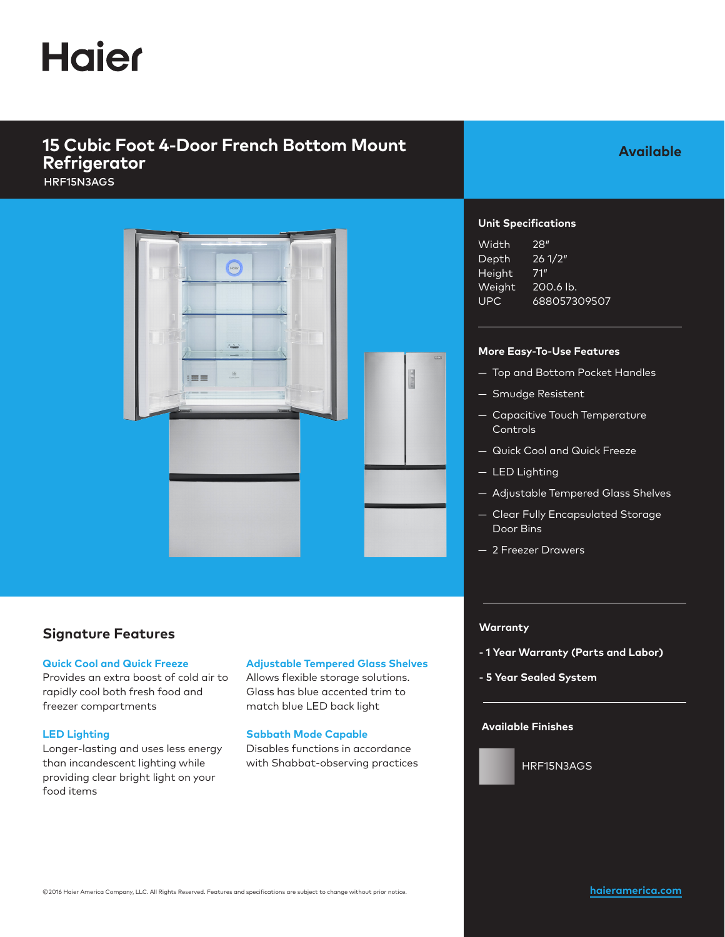# **Haier**

## **15 Cubic Foot 4-Door French Bottom Mount Refrigerator**

HRF15N3AGS



### **Signature Features**

#### **Quick Cool and Quick Freeze**

Provides an extra boost of cold air to rapidly cool both fresh food and freezer compartments

#### **LED Lighting**

Longer-lasting and uses less energy than incandescent lighting while providing clear bright light on your food items

### **Adjustable Tempered Glass Shelves**

Allows flexible storage solutions. Glass has blue accented trim to match blue LED back light

#### **Sabbath Mode Capable**

Disables functions in accordance with Shabbat-observing practices

**Available** 

#### **Unit Specifications**

| Width  | 28"          |
|--------|--------------|
| Depth  | 261/2"       |
| Height | 71"          |
| Weight | 200.6 lb.    |
| UPC    | 688057309507 |

#### **More Easy-To-Use Features**

- Top and Bottom Pocket Handles
- Smudge Resistent
- Capacitive Touch Temperature Controls
- Quick Cool and Quick Freeze
- LED Lighting
- Adjustable Tempered Glass Shelves
- Clear Fully Encapsulated Storage Door Bins
- 2 Freezer Drawers

#### **Warranty**

- **1 Year Warranty (Parts and Labor)**
- **5 Year Sealed System**

#### **Available Finishes**



HRF15N3AGS